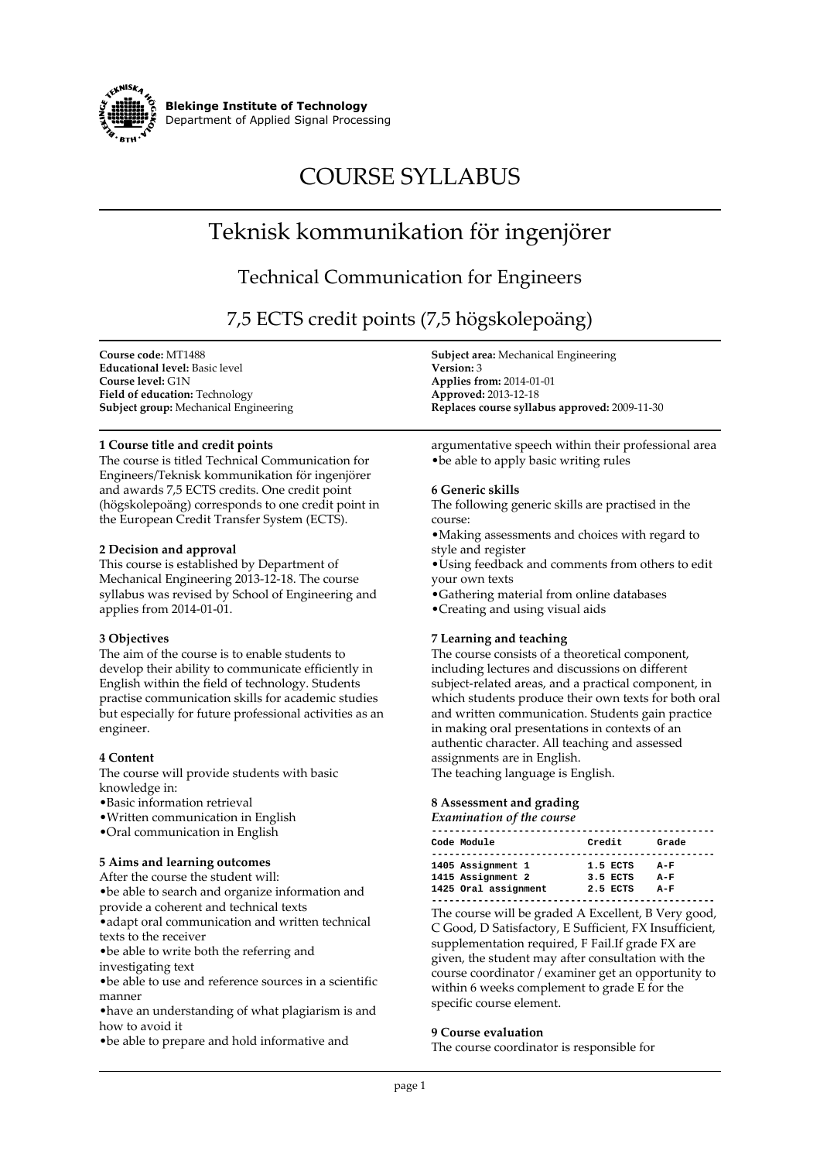

**Blekinge Institute of Technology Department of Applied Signal Processing**

# **COURSE SYLLABUS**

## **Teknisk kommunikation för ingenjörer**

### **Technical Communication for Engineers**

**7,5 ECTS credit points (7,5 högskolepoäng)**

**Course code: MT1488 Educational level: Basic level Course level: G1N Field of education: Technology Subject group: Mechanical Engineering**

#### **1 Course title and credit points**

**The course is titled Technical Communication for Engineers/Teknisk kommunikation för ingenjörer and awards 7,5 ECTS credits. One credit point (högskolepoäng) corresponds to one credit point in the European Credit Transfer System (ECTS).**

#### **2 Decision and approval**

**This course is established by Department of Mechanical Engineering 2013-12-18. The course syllabus was revised by School of Engineering and applies from 2014-01-01.**

#### **3 Objectives**

**The aim of the course is to enable students to develop their ability to communicate efficiently in English within the field of technology. Students practise communication skills for academic studies but especially for future professional activities as an engineer.**

#### **4 Content**

**The course will provide students with basic knowledge in:**

- **•Basic information retrieval**
- **•Written communication in English**
- **•Oral communication in English**

#### **5 Aims and learning outcomes**

**After the course the student will: •be able to search and organize information and provide a coherent and technical texts •adapt oral communication and written technical texts to the receiver •be able to write both the referring and investigating text •be able to use and reference sources in a scientific**

**manner**

**•have an understanding of what plagiarism is and how to avoid it**

**•be able to prepare and hold informative and**

**Subject area: Mechanical Engineering Version: 3 Applies from: 2014-01-01 Approved: 2013-12-18 Replaces course syllabus approved: 2009-11-30**

**argumentative speech within their professional area •be able to apply basic writing rules**

#### **6 Generic skills**

**The following generic skills are practised in the course:**

**•Making assessments and choices with regard to style and register**

**•Using feedback and comments from others to edit your own texts**

**•Gathering material from online databases**

**•Creating and using visual aids**

#### **7 Learning and teaching**

**The course consists of a theoretical component, including lectures and discussions on different subject-related areas, and a practical component, in which students produce their own texts for both oral and written communication. Students gain practice in making oral presentations in contexts of an authentic character. All teaching and assessed assignments are in English. The teaching language is English.**

#### **8 Assessment and grading**

*Examination of the course*

| Credit<br>Code Module                                                                              |                         |
|----------------------------------------------------------------------------------------------------|-------------------------|
|                                                                                                    | Grade                   |
| 1405 Assignment 1<br>1.5 ECTS<br>1415 Assignment 2<br>3.5 ECTS<br>1425 Oral assignment<br>2.5 ECTS | $A-F$<br>$A-F$<br>$A-F$ |

**The course will be graded A Excellent, B Very good, C Good, D Satisfactory, E Sufficient, FX Insufficient, supplementation required, F Fail.If grade FX are given, the student may after consultation with the course coordinator / examiner get an opportunity to within 6 weeks complement to grade E for the specific course element.**

#### **9 Course evaluation**

**The course coordinator is responsible for**